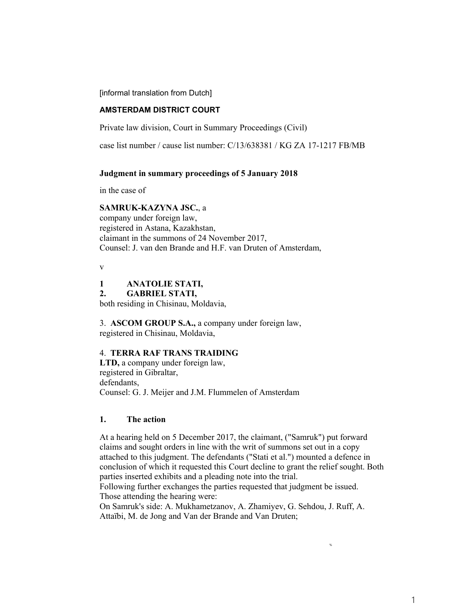[informal translation from Dutch]

## **AMSTERDAM DISTRICT COURT**

Private law division, Court in Summary Proceedings (Civil)

case list number / cause list number: C/13/638381 / KG ZA 17-1217 FB/MB

#### **Judgment in summary proceedings of 5 January 2018**

in the case of

#### **SAMRUK-KAZYNA JSC.**, a

company under foreign law, registered in Astana, Kazakhstan, claimant in the summons of 24 November 2017, Counsel: J. van den Brande and H.F. van Druten of Amsterdam,

v

## **1 ANATOLIE STATI,**

**2. GABRIEL STATI,** 

both residing in Chisinau, Moldavia,

3. **ASCOM GROUP S.A.,** a company under foreign law, registered in Chisinau, Moldavia,

#### 4. **TERRA RAF TRANS TRAIDING**

**LTD,** a company under foreign law, registered in Gibraltar, defendants, Counsel: G. J. Meijer and J.M. Flummelen of Amsterdam

### **1. The action**

At a hearing held on 5 December 2017, the claimant, ("Samruk") put forward claims and sought orders in line with the writ of summons set out in a copy attached to this judgment. The defendants ("Stati et al.") mounted a defence in conclusion of which it requested this Court decline to grant the relief sought. Both parties inserted exhibits and a pleading note into the trial.

Following further exchanges the parties requested that judgment be issued. Those attending the hearing were:

On Samruk's side: A. Mukhametzanov, A. Zhamiyev, G. Sehdou, J. Ruff, A. Attaïbi, M. de Jong and Van der Brande and Van Druten;

%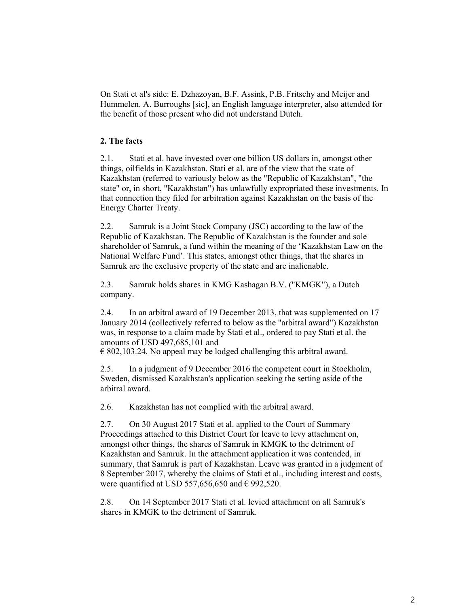On Stati et al's side: E. Dzhazoyan, B.F. Assink, P.B. Fritschy and Meijer and Hummelen. A. Burroughs [sic], an English language interpreter, also attended for the benefit of those present who did not understand Dutch.

# **2. The facts**

2.1. Stati et al. have invested over one billion US dollars in, amongst other things, oilfields in Kazakhstan. Stati et al. are of the view that the state of Kazakhstan (referred to variously below as the "Republic of Kazakhstan", "the state" or, in short, "Kazakhstan") has unlawfully expropriated these investments. In that connection they filed for arbitration against Kazakhstan on the basis of the Energy Charter Treaty.

2.2. Samruk is a Joint Stock Company (JSC) according to the law of the Republic of Kazakhstan. The Republic of Kazakhstan is the founder and sole shareholder of Samruk, a fund within the meaning of the 'Kazakhstan Law on the National Welfare Fund'. This states, amongst other things, that the shares in Samruk are the exclusive property of the state and are inalienable.

2.3. Samruk holds shares in KMG Kashagan B.V. ("KMGK"), a Dutch company.

2.4. In an arbitral award of 19 December 2013, that was supplemented on 17 January 2014 (collectively referred to below as the "arbitral award") Kazakhstan was, in response to a claim made by Stati et al., ordered to pay Stati et al. the amounts of USD 497,685,101 and

 $\epsilon$  802,103.24. No appeal may be lodged challenging this arbitral award.

2.5. In a judgment of 9 December 2016 the competent court in Stockholm, Sweden, dismissed Kazakhstan's application seeking the setting aside of the arbitral award.

2.6. Kazakhstan has not complied with the arbitral award.

2.7. On 30 August 2017 Stati et al. applied to the Court of Summary Proceedings attached to this District Court for leave to levy attachment on, amongst other things, the shares of Samruk in KMGK to the detriment of Kazakhstan and Samruk. In the attachment application it was contended, in summary, that Samruk is part of Kazakhstan. Leave was granted in a judgment of 8 September 2017, whereby the claims of Stati et al., including interest and costs, were quantified at USD 557,656,650 and  $\in$  992,520.

2.8. On 14 September 2017 Stati et al. levied attachment on all Samruk's shares in KMGK to the detriment of Samruk.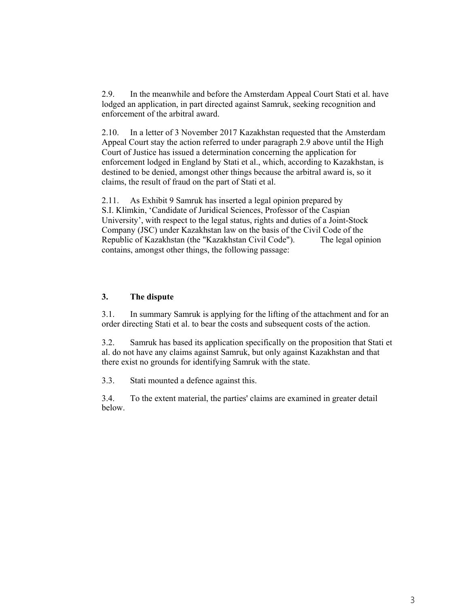2.9. In the meanwhile and before the Amsterdam Appeal Court Stati et al. have lodged an application, in part directed against Samruk, seeking recognition and enforcement of the arbitral award.

2.10. In a letter of 3 November 2017 Kazakhstan requested that the Amsterdam Appeal Court stay the action referred to under paragraph 2.9 above until the High Court of Justice has issued a determination concerning the application for enforcement lodged in England by Stati et al., which, according to Kazakhstan, is destined to be denied, amongst other things because the arbitral award is, so it claims, the result of fraud on the part of Stati et al.

2.11. As Exhibit 9 Samruk has inserted a legal opinion prepared by S.I. Klimkin, 'Candidate of Juridical Sciences, Professor of the Caspian University', with respect to the legal status, rights and duties of a Joint-Stock Company (JSC) under Kazakhstan law on the basis of the Civil Code of the Republic of Kazakhstan (the "Kazakhstan Civil Code"). The legal opinion contains, amongst other things, the following passage:

### **3. The dispute**

3.1. In summary Samruk is applying for the lifting of the attachment and for an order directing Stati et al. to bear the costs and subsequent costs of the action.

3.2. Samruk has based its application specifically on the proposition that Stati et al. do not have any claims against Samruk, but only against Kazakhstan and that there exist no grounds for identifying Samruk with the state.

3.3. Stati mounted a defence against this.

3.4. To the extent material, the parties' claims are examined in greater detail below.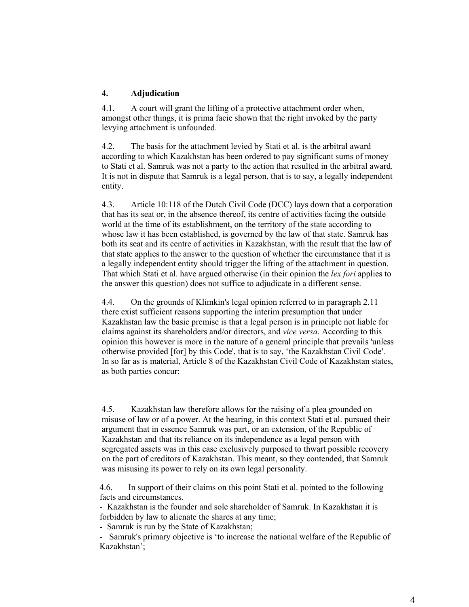## **4. Adjudication**

4.1. A court will grant the lifting of a protective attachment order when, amongst other things, it is prima facie shown that the right invoked by the party levying attachment is unfounded.

4.2. The basis for the attachment levied by Stati et al. is the arbitral award according to which Kazakhstan has been ordered to pay significant sums of money to Stati et al. Samruk was not a party to the action that resulted in the arbitral award. It is not in dispute that Samruk is a legal person, that is to say, a legally independent entity.

4.3. Article 10:118 of the Dutch Civil Code (DCC) lays down that a corporation that has its seat or, in the absence thereof, its centre of activities facing the outside world at the time of its establishment, on the territory of the state according to whose law it has been established, is governed by the law of that state. Samruk has both its seat and its centre of activities in Kazakhstan, with the result that the law of that state applies to the answer to the question of whether the circumstance that it is a legally independent entity should trigger the lifting of the attachment in question. That which Stati et al. have argued otherwise (in their opinion the *lex fori* applies to the answer this question) does not suffice to adjudicate in a different sense.

4.4. On the grounds of Klimkin's legal opinion referred to in paragraph 2.11 there exist sufficient reasons supporting the interim presumption that under Kazakhstan law the basic premise is that a legal person is in principle not liable for claims against its shareholders and/or directors, and *vice versa*. According to this opinion this however is more in the nature of a general principle that prevails 'unless otherwise provided [for] by this Code', that is to say, 'the Kazakhstan Civil Code'. In so far as is material, Article 8 of the Kazakhstan Civil Code of Kazakhstan states, as both parties concur:

4.5. Kazakhstan law therefore allows for the raising of a plea grounded on misuse of law or of a power. At the hearing, in this context Stati et al. pursued their argument that in essence Samruk was part, or an extension, of the Republic of Kazakhstan and that its reliance on its independence as a legal person with segregated assets was in this case exclusively purposed to thwart possible recovery on the part of creditors of Kazakhstan. This meant, so they contended, that Samruk was misusing its power to rely on its own legal personality.

4.6. In support of their claims on this point Stati et al. pointed to the following facts and circumstances.

- Kazakhstan is the founder and sole shareholder of Samruk. In Kazakhstan it is forbidden by law to alienate the shares at any time;

- Samruk is run by the State of Kazakhstan;

- Samruk's primary objective is 'to increase the national welfare of the Republic of Kazakhstan';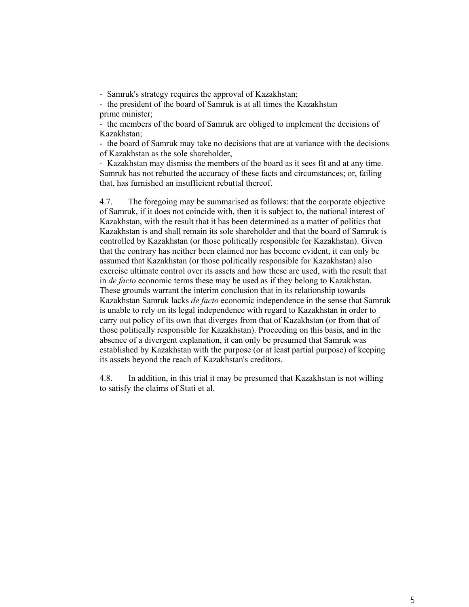- Samruk's strategy requires the approval of Kazakhstan;

- the president of the board of Samruk is at all times the Kazakhstan prime minister;

- the members of the board of Samruk are obliged to implement the decisions of Kazakhstan;

- the board of Samruk may take no decisions that are at variance with the decisions of Kazakhstan as the sole shareholder,

- Kazakhstan may dismiss the members of the board as it sees fit and at any time. Samruk has not rebutted the accuracy of these facts and circumstances; or, failing that, has furnished an insufficient rebuttal thereof.

4.7. The foregoing may be summarised as follows: that the corporate objective of Samruk, if it does not coincide with, then it is subject to, the national interest of Kazakhstan, with the result that it has been determined as a matter of politics that Kazakhstan is and shall remain its sole shareholder and that the board of Samruk is controlled by Kazakhstan (or those politically responsible for Kazakhstan). Given that the contrary has neither been claimed nor has become evident, it can only be assumed that Kazakhstan (or those politically responsible for Kazakhstan) also exercise ultimate control over its assets and how these are used, with the result that in *de facto* economic terms these may be used as if they belong to Kazakhstan. These grounds warrant the interim conclusion that in its relationship towards Kazakhstan Samruk lacks *de facto* economic independence in the sense that Samruk is unable to rely on its legal independence with regard to Kazakhstan in order to carry out policy of its own that diverges from that of Kazakhstan (or from that of those politically responsible for Kazakhstan). Proceeding on this basis, and in the absence of a divergent explanation, it can only be presumed that Samruk was established by Kazakhstan with the purpose (or at least partial purpose) of keeping its assets beyond the reach of Kazakhstan's creditors.

4.8. In addition, in this trial it may be presumed that Kazakhstan is not willing to satisfy the claims of Stati et al.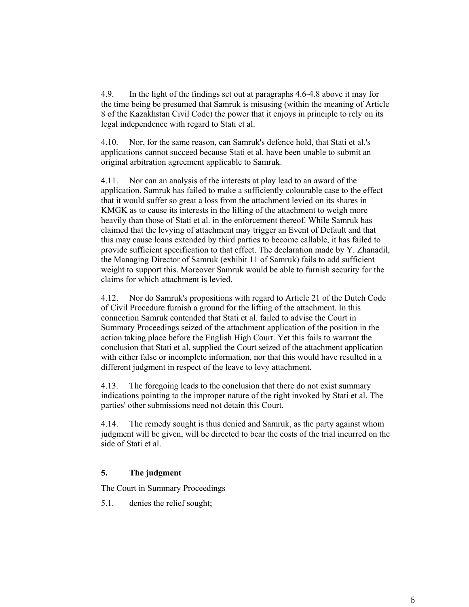4.9. In the light of the findings set out at paragraphs 4.6-4.8 above it may for the time being be presumed that Samruk is misusing (within the meaning of Article 8 of the Kazakhstan Civil Code) the power that it enjoys in principle to rely on its legal independence with regard to Stati et al.

4.10. Nor, for the same reason, can Samruk's defence hold, that Stati et al.'s applications cannot succeed because Stati et al. have been unable to submit an original arbitration agreement applicable to Samruk.

4.11. Nor can an analysis of the interests at play lead to an award of the application. Samruk has failed to make a sufficiently colourable case to the effect that it would suffer so great a loss from the attachment levied on its shares in KMGK as to cause its interests in the lifting of the attachment to weigh more heavily than those of Stati et al. in the enforcement thereof. While Samruk has claimed that the levying of attachment may trigger an Event of Default and that this may cause loans extended by third parties to become callable, it has failed to provide sufficient specification to that effect. The declaration made by Y. Zhanadil, the Managing Director of Samruk (exhibit 11 of Samruk) fails to add sufficient weight to support this. Moreover Samruk would be able to furnish security for the claims for which attachment is levied.

4.12. Nor do Samruk's propositions with regard to Article 21 of the Dutch Code of Civil Procedure furnish a ground for the lifting of the attachment. In this connection Samruk contended that Stati et al. failed to advise the Court in Summary Proceedings seized of the attachment application of the position in the action taking place before the English High Court. Yet this fails to warrant the conclusion that Stati et al. supplied the Court seized of the attachment application with either false or incomplete information, nor that this would have resulted in a different judgment in respect of the leave to levy attachment.

4.13. The foregoing leads to the conclusion that there do not exist summary indications pointing to the improper nature of the right invoked by Stati et al. The parties' other submissions need not detain this Court.

4.14. The remedy sought is thus denied and Samruk, as the party against whom judgment will be given, will be directed to bear the costs of the trial incurred on the side of Stati et al.

## **5. The judgment**

The Court in Summary Proceedings

5.1. denies the relief sought;